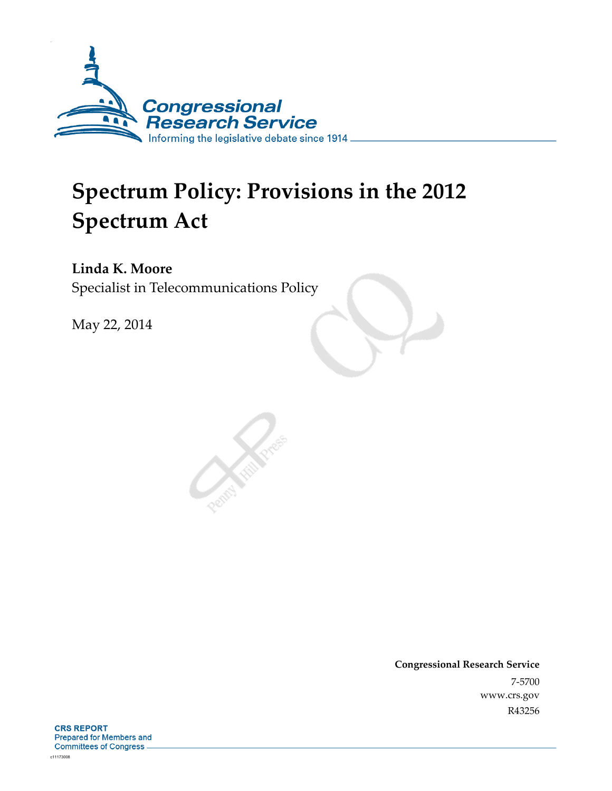

# **Spectrum Policy: Provisions in the 2012 Spectrum Act**

**Linda K. Moore**  Specialist in Telecommunications Policy

May 22, 2014

**Congressional Research Service**  7-5700 www.crs.gov R43256

**CRS REPORT Prepared for Members and Committees of Congress.**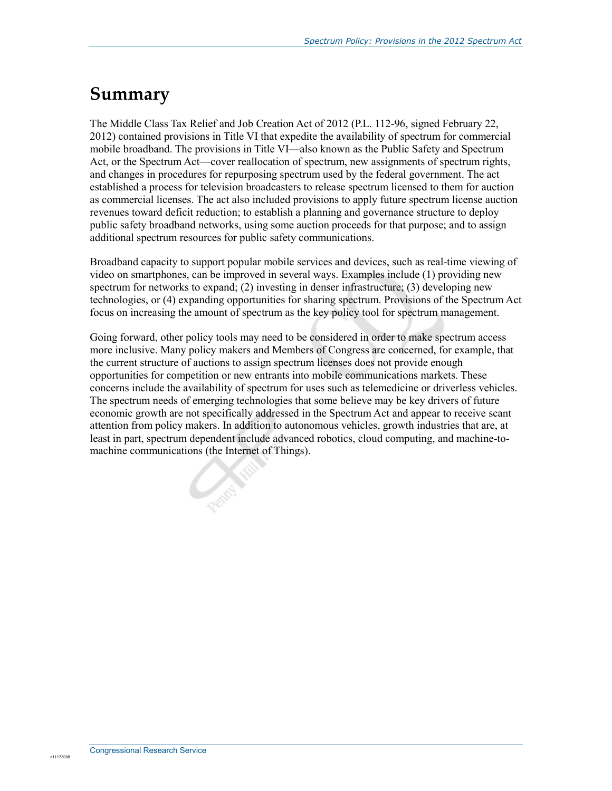## **Summary**

.

The Middle Class Tax Relief and Job Creation Act of 2012 (P.L. 112-96, signed February 22, 2012) contained provisions in Title VI that expedite the availability of spectrum for commercial mobile broadband. The provisions in Title VI—also known as the Public Safety and Spectrum Act, or the Spectrum Act—cover reallocation of spectrum, new assignments of spectrum rights, and changes in procedures for repurposing spectrum used by the federal government. The act established a process for television broadcasters to release spectrum licensed to them for auction as commercial licenses. The act also included provisions to apply future spectrum license auction revenues toward deficit reduction; to establish a planning and governance structure to deploy public safety broadband networks, using some auction proceeds for that purpose; and to assign additional spectrum resources for public safety communications.

Broadband capacity to support popular mobile services and devices, such as real-time viewing of video on smartphones, can be improved in several ways. Examples include (1) providing new spectrum for networks to expand; (2) investing in denser infrastructure; (3) developing new technologies, or (4) expanding opportunities for sharing spectrum. Provisions of the Spectrum Act focus on increasing the amount of spectrum as the key policy tool for spectrum management.

Going forward, other policy tools may need to be considered in order to make spectrum access more inclusive. Many policy makers and Members of Congress are concerned, for example, that the current structure of auctions to assign spectrum licenses does not provide enough opportunities for competition or new entrants into mobile communications markets. These concerns include the availability of spectrum for uses such as telemedicine or driverless vehicles. The spectrum needs of emerging technologies that some believe may be key drivers of future economic growth are not specifically addressed in the Spectrum Act and appear to receive scant attention from policy makers. In addition to autonomous vehicles, growth industries that are, at least in part, spectrum dependent include advanced robotics, cloud computing, and machine-tomachine communications (the Internet of Things).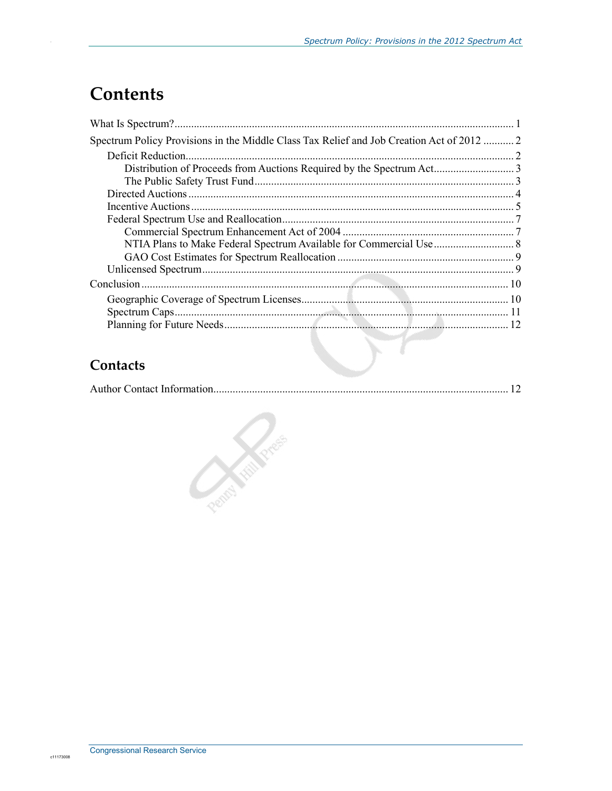## **Contents**

| Spectrum Policy Provisions in the Middle Class Tax Relief and Job Creation Act of 2012  2 |  |
|-------------------------------------------------------------------------------------------|--|
|                                                                                           |  |
|                                                                                           |  |
|                                                                                           |  |
|                                                                                           |  |
|                                                                                           |  |
|                                                                                           |  |
|                                                                                           |  |
|                                                                                           |  |
|                                                                                           |  |
|                                                                                           |  |
|                                                                                           |  |
|                                                                                           |  |
|                                                                                           |  |
|                                                                                           |  |

## Contacts

|--|--|

**Company Report**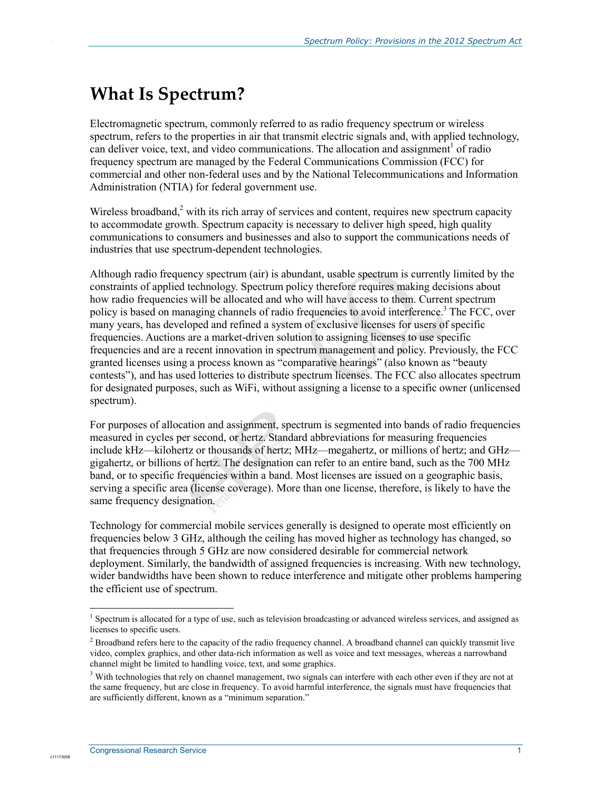## **What Is Spectrum?**

.

Electromagnetic spectrum, commonly referred to as radio frequency spectrum or wireless spectrum, refers to the properties in air that transmit electric signals and, with applied technology, can deliver voice, text, and video communications. The allocation and assignment<sup>1</sup> of radio frequency spectrum are managed by the Federal Communications Commission (FCC) for commercial and other non-federal uses and by the National Telecommunications and Information Administration (NTIA) for federal government use.

Wireless broadband, $2$  with its rich array of services and content, requires new spectrum capacity to accommodate growth. Spectrum capacity is necessary to deliver high speed, high quality communications to consumers and businesses and also to support the communications needs of industries that use spectrum-dependent technologies.

Although radio frequency spectrum (air) is abundant, usable spectrum is currently limited by the constraints of applied technology. Spectrum policy therefore requires making decisions about how radio frequencies will be allocated and who will have access to them. Current spectrum policy is based on managing channels of radio frequencies to avoid interference.<sup>3</sup> The FCC, over many years, has developed and refined a system of exclusive licenses for users of specific frequencies. Auctions are a market-driven solution to assigning licenses to use specific frequencies and are a recent innovation in spectrum management and policy. Previously, the FCC granted licenses using a process known as "comparative hearings" (also known as "beauty contests"), and has used lotteries to distribute spectrum licenses. The FCC also allocates spectrum for designated purposes, such as WiFi, without assigning a license to a specific owner (unlicensed spectrum).

For purposes of allocation and assignment, spectrum is segmented into bands of radio frequencies measured in cycles per second, or hertz. Standard abbreviations for measuring frequencies include kHz—kilohertz or thousands of hertz; MHz—megahertz, or millions of hertz; and GHz gigahertz, or billions of hertz. The designation can refer to an entire band, such as the 700 MHz band, or to specific frequencies within a band. Most licenses are issued on a geographic basis, serving a specific area (license coverage). More than one license, therefore, is likely to have the same frequency designation.

Technology for commercial mobile services generally is designed to operate most efficiently on frequencies below 3 GHz, although the ceiling has moved higher as technology has changed, so that frequencies through 5 GHz are now considered desirable for commercial network deployment. Similarly, the bandwidth of assigned frequencies is increasing. With new technology, wider bandwidths have been shown to reduce interference and mitigate other problems hampering the efficient use of spectrum.

1

<sup>&</sup>lt;sup>1</sup> Spectrum is allocated for a type of use, such as television broadcasting or advanced wireless services, and assigned as licenses to specific users.

<sup>&</sup>lt;sup>2</sup> Broadband refers here to the capacity of the radio frequency channel. A broadband channel can quickly transmit live video, complex graphics, and other data-rich information as well as voice and text messages, whereas a narrowband channel might be limited to handling voice, text, and some graphics.

<sup>&</sup>lt;sup>3</sup> With technologies that rely on channel management, two signals can interfere with each other even if they are not at the same frequency, but are close in frequency. To avoid harmful interference, the signals must have frequencies that are sufficiently different, known as a "minimum separation."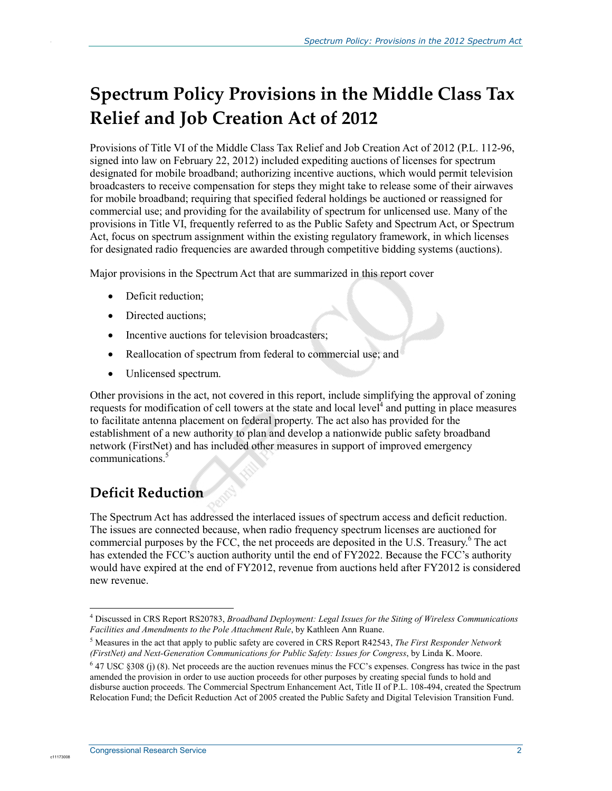## **Spectrum Policy Provisions in the Middle Class Tax Relief and Job Creation Act of 2012**

Provisions of Title VI of the Middle Class Tax Relief and Job Creation Act of 2012 (P.L. 112-96, signed into law on February 22, 2012) included expediting auctions of licenses for spectrum designated for mobile broadband; authorizing incentive auctions, which would permit television broadcasters to receive compensation for steps they might take to release some of their airwaves for mobile broadband; requiring that specified federal holdings be auctioned or reassigned for commercial use; and providing for the availability of spectrum for unlicensed use. Many of the provisions in Title VI, frequently referred to as the Public Safety and Spectrum Act, or Spectrum Act, focus on spectrum assignment within the existing regulatory framework, in which licenses for designated radio frequencies are awarded through competitive bidding systems (auctions).

Major provisions in the Spectrum Act that are summarized in this report cover

• Deficit reduction;

.

- Directed auctions;
- Incentive auctions for television broadcasters;
- Reallocation of spectrum from federal to commercial use; and
- Unlicensed spectrum.

Other provisions in the act, not covered in this report, include simplifying the approval of zoning requests for modification of cell towers at the state and local level $\hat{A}$  and putting in place measures to facilitate antenna placement on federal property. The act also has provided for the establishment of a new authority to plan and develop a nationwide public safety broadband network (FirstNet) and has included other measures in support of improved emergency communications<sup>5</sup>

## **Deficit Reduction**

The Spectrum Act has addressed the interlaced issues of spectrum access and deficit reduction. The issues are connected because, when radio frequency spectrum licenses are auctioned for commercial purposes by the FCC, the net proceeds are deposited in the U.S. Treasury.<sup>6</sup> The act has extended the FCC's auction authority until the end of FY2022. Because the FCC's authority would have expired at the end of FY2012, revenue from auctions held after FY2012 is considered new revenue.

<sup>1</sup> 4 Discussed in CRS Report RS20783, *Broadband Deployment: Legal Issues for the Siting of Wireless Communications Facilities and Amendments to the Pole Attachment Rule*, by Kathleen Ann Ruane.

<sup>5</sup> Measures in the act that apply to public safety are covered in CRS Report R42543, *The First Responder Network (FirstNet) and Next-Generation Communications for Public Safety: Issues for Congress*, by Linda K. Moore.

 $6$  47 USC §308 (j) (8). Net proceeds are the auction revenues minus the FCC's expenses. Congress has twice in the past amended the provision in order to use auction proceeds for other purposes by creating special funds to hold and disburse auction proceeds. The Commercial Spectrum Enhancement Act, Title II of P.L. 108-494, created the Spectrum Relocation Fund; the Deficit Reduction Act of 2005 created the Public Safety and Digital Television Transition Fund.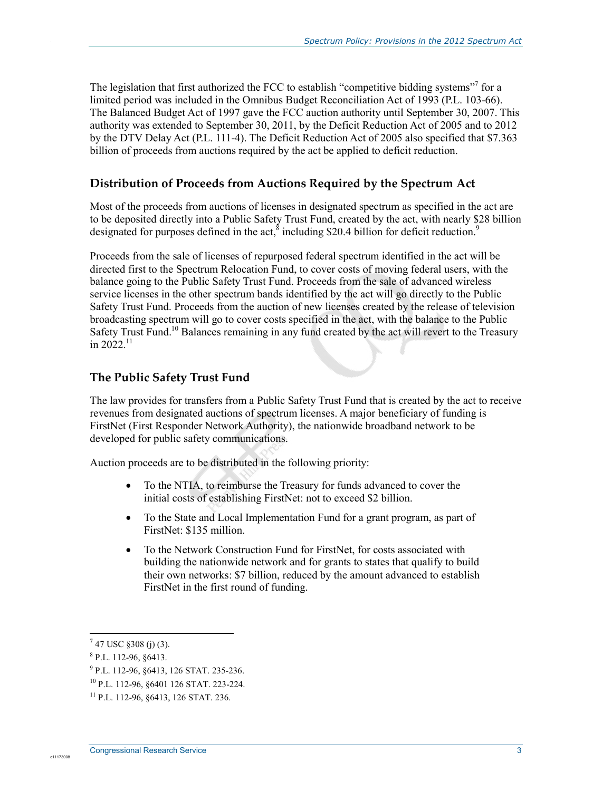The legislation that first authorized the FCC to establish "competitive bidding systems"<sup>7</sup> for a limited period was included in the Omnibus Budget Reconciliation Act of 1993 (P.L. 103-66). The Balanced Budget Act of 1997 gave the FCC auction authority until September 30, 2007. This authority was extended to September 30, 2011, by the Deficit Reduction Act of 2005 and to 2012 by the DTV Delay Act (P.L. 111-4). The Deficit Reduction Act of 2005 also specified that \$7.363 billion of proceeds from auctions required by the act be applied to deficit reduction.

#### **Distribution of Proceeds from Auctions Required by the Spectrum Act**

Most of the proceeds from auctions of licenses in designated spectrum as specified in the act are to be deposited directly into a Public Safety Trust Fund, created by the act, with nearly \$28 billion designated for purposes defined in the act,  $\delta$  including \$20.4 billion for deficit reduction.<sup>9</sup>

Proceeds from the sale of licenses of repurposed federal spectrum identified in the act will be directed first to the Spectrum Relocation Fund, to cover costs of moving federal users, with the balance going to the Public Safety Trust Fund. Proceeds from the sale of advanced wireless service licenses in the other spectrum bands identified by the act will go directly to the Public Safety Trust Fund. Proceeds from the auction of new licenses created by the release of television broadcasting spectrum will go to cover costs specified in the act, with the balance to the Public Safety Trust Fund.<sup>10</sup> Balances remaining in any fund created by the act will revert to the Treasury in 2022<sup>11</sup>

#### **The Public Safety Trust Fund**

The law provides for transfers from a Public Safety Trust Fund that is created by the act to receive revenues from designated auctions of spectrum licenses. A major beneficiary of funding is FirstNet (First Responder Network Authority), the nationwide broadband network to be developed for public safety communications.

Auction proceeds are to be distributed in the following priority:

- To the NTIA, to reimburse the Treasury for funds advanced to cover the initial costs of establishing FirstNet: not to exceed \$2 billion.
- To the State and Local Implementation Fund for a grant program, as part of FirstNet: \$135 million.
- To the Network Construction Fund for FirstNet, for costs associated with building the nationwide network and for grants to states that qualify to build their own networks: \$7 billion, reduced by the amount advanced to establish FirstNet in the first round of funding.

1

c11173008

 $7$  47 USC  $$308$  (j) (3).

<sup>8</sup> P.L. 112-96, §6413.

<sup>9</sup> P.L. 112-96, §6413, 126 STAT. 235-236.

<sup>10</sup> P.L. 112-96, §6401 126 STAT. 223-224.

<sup>11</sup> P.L. 112-96, §6413, 126 STAT. 236.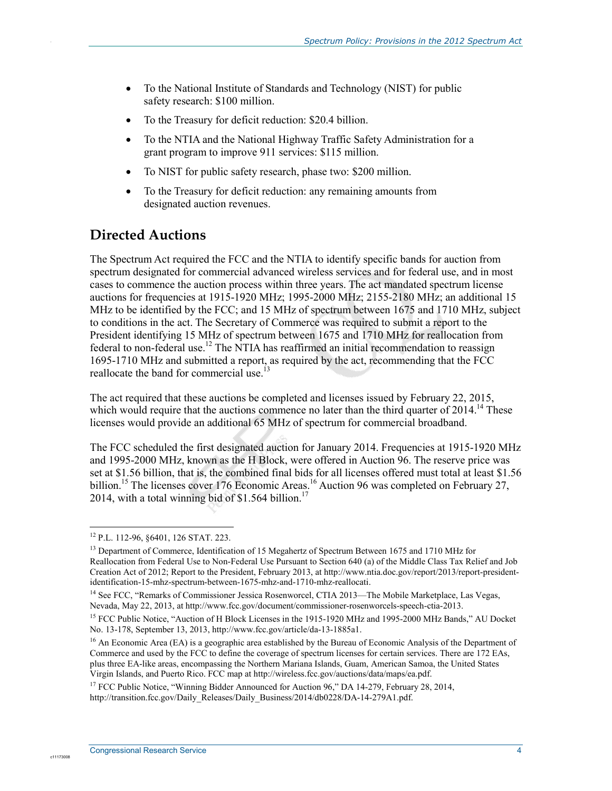- To the National Institute of Standards and Technology (NIST) for public safety research: \$100 million.
- To the Treasury for deficit reduction: \$20.4 billion.
- To the NTIA and the National Highway Traffic Safety Administration for a grant program to improve 911 services: \$115 million.
- To NIST for public safety research, phase two: \$200 million.
- To the Treasury for deficit reduction: any remaining amounts from designated auction revenues.

## **Directed Auctions**

.

The Spectrum Act required the FCC and the NTIA to identify specific bands for auction from spectrum designated for commercial advanced wireless services and for federal use, and in most cases to commence the auction process within three years. The act mandated spectrum license auctions for frequencies at 1915-1920 MHz; 1995-2000 MHz; 2155-2180 MHz; an additional 15 MHz to be identified by the FCC; and 15 MHz of spectrum between 1675 and 1710 MHz, subject to conditions in the act. The Secretary of Commerce was required to submit a report to the President identifying 15 MHz of spectrum between 1675 and 1710 MHz for reallocation from federal to non-federal use.<sup>12</sup> The NTIA has reaffirmed an initial recommendation to reassign 1695-1710 MHz and submitted a report, as required by the act, recommending that the FCC reallocate the band for commercial use.<sup>13</sup>

The act required that these auctions be completed and licenses issued by February 22, 2015, which would require that the auctions commence no later than the third quarter of  $2014$ .<sup>14</sup> These licenses would provide an additional 65 MHz of spectrum for commercial broadband.

The FCC scheduled the first designated auction for January 2014. Frequencies at 1915-1920 MHz and 1995-2000 MHz, known as the H Block, were offered in Auction 96. The reserve price was set at \$1.56 billion, that is, the combined final bids for all licenses offered must total at least \$1.56 billion.<sup>15</sup> The licenses cover 176 Economic Areas.<sup>16</sup> Auction 96 was completed on February 27, 2014, with a total winning bid of  $$1.564$  billion.<sup>17</sup>

<sup>1</sup> 12 P.L. 112-96, §6401, 126 STAT. 223.

<sup>&</sup>lt;sup>13</sup> Department of Commerce, Identification of 15 Megahertz of Spectrum Between 1675 and 1710 MHz for Reallocation from Federal Use to Non-Federal Use Pursuant to Section 640 (a) of the Middle Class Tax Relief and Job Creation Act of 2012; Report to the President, February 2013, at http://www.ntia.doc.gov/report/2013/report-presidentidentification-15-mhz-spectrum-between-1675-mhz-and-1710-mhz-reallocati.

<sup>&</sup>lt;sup>14</sup> See FCC, "Remarks of Commissioner Jessica Rosenworcel, CTIA 2013—The Mobile Marketplace, Las Vegas, Nevada, May 22, 2013, at http://www.fcc.gov/document/commissioner-rosenworcels-speech-ctia-2013.

<sup>&</sup>lt;sup>15</sup> FCC Public Notice, "Auction of H Block Licenses in the 1915-1920 MHz and 1995-2000 MHz Bands," AU Docket No. 13-178, September 13, 2013, http://www.fcc.gov/article/da-13-1885a1.

<sup>&</sup>lt;sup>16</sup> An Economic Area (EA) is a geographic area established by the Bureau of Economic Analysis of the Department of Commerce and used by the FCC to define the coverage of spectrum licenses for certain services. There are 172 EAs, plus three EA-like areas, encompassing the Northern Mariana Islands, Guam, American Samoa, the United States Virgin Islands, and Puerto Rico. FCC map at http://wireless.fcc.gov/auctions/data/maps/ea.pdf.

<sup>&</sup>lt;sup>17</sup> FCC Public Notice, "Winning Bidder Announced for Auction 96," DA 14-279, February 28, 2014, http://transition.fcc.gov/Daily\_Releases/Daily\_Business/2014/db0228/DA-14-279A1.pdf.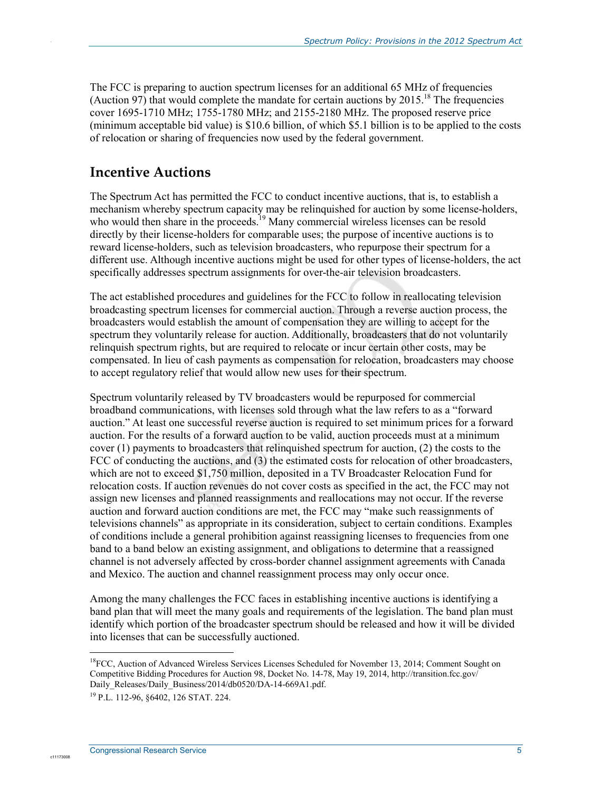The FCC is preparing to auction spectrum licenses for an additional 65 MHz of frequencies (Auction 97) that would complete the mandate for certain auctions by  $2015$ .<sup>18</sup> The frequencies cover 1695-1710 MHz; 1755-1780 MHz; and 2155-2180 MHz. The proposed reserve price (minimum acceptable bid value) is \$10.6 billion, of which \$5.1 billion is to be applied to the costs of relocation or sharing of frequencies now used by the federal government.

### **Incentive Auctions**

.

The Spectrum Act has permitted the FCC to conduct incentive auctions, that is, to establish a mechanism whereby spectrum capacity may be relinquished for auction by some license-holders, who would then share in the proceeds.<sup>19</sup> Many commercial wireless licenses can be resold directly by their license-holders for comparable uses; the purpose of incentive auctions is to reward license-holders, such as television broadcasters, who repurpose their spectrum for a different use. Although incentive auctions might be used for other types of license-holders, the act specifically addresses spectrum assignments for over-the-air television broadcasters.

The act established procedures and guidelines for the FCC to follow in reallocating television broadcasting spectrum licenses for commercial auction. Through a reverse auction process, the broadcasters would establish the amount of compensation they are willing to accept for the spectrum they voluntarily release for auction. Additionally, broadcasters that do not voluntarily relinquish spectrum rights, but are required to relocate or incur certain other costs, may be compensated. In lieu of cash payments as compensation for relocation, broadcasters may choose to accept regulatory relief that would allow new uses for their spectrum.

Spectrum voluntarily released by TV broadcasters would be repurposed for commercial broadband communications, with licenses sold through what the law refers to as a "forward auction." At least one successful reverse auction is required to set minimum prices for a forward auction. For the results of a forward auction to be valid, auction proceeds must at a minimum cover (1) payments to broadcasters that relinquished spectrum for auction, (2) the costs to the FCC of conducting the auctions, and (3) the estimated costs for relocation of other broadcasters, which are not to exceed \$1,750 million, deposited in a TV Broadcaster Relocation Fund for relocation costs. If auction revenues do not cover costs as specified in the act, the FCC may not assign new licenses and planned reassignments and reallocations may not occur. If the reverse auction and forward auction conditions are met, the FCC may "make such reassignments of televisions channels" as appropriate in its consideration, subject to certain conditions. Examples of conditions include a general prohibition against reassigning licenses to frequencies from one band to a band below an existing assignment, and obligations to determine that a reassigned channel is not adversely affected by cross-border channel assignment agreements with Canada and Mexico. The auction and channel reassignment process may only occur once.

Among the many challenges the FCC faces in establishing incentive auctions is identifying a band plan that will meet the many goals and requirements of the legislation. The band plan must identify which portion of the broadcaster spectrum should be released and how it will be divided into licenses that can be successfully auctioned.

1

<sup>&</sup>lt;sup>18</sup>FCC, Auction of Advanced Wireless Services Licenses Scheduled for November 13, 2014; Comment Sought on Competitive Bidding Procedures for Auction 98, Docket No. 14-78, May 19, 2014, http://transition.fcc.gov/ Daily\_Releases/Daily\_Business/2014/db0520/DA-14-669A1.pdf.

<sup>19</sup> P.L. 112-96, §6402, 126 STAT. 224.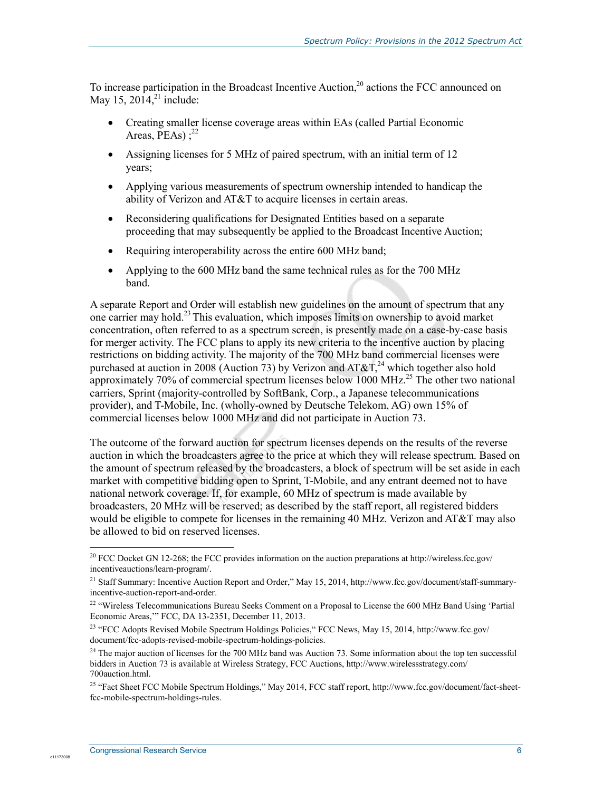To increase participation in the Broadcast Incentive Auction,<sup>20</sup> actions the FCC announced on May 15,  $2014$ ,<sup>21</sup> include:

- Creating smaller license coverage areas within EAs (called Partial Economic Areas,  $\overline{PEAs}$ ) :  $^{22}$
- Assigning licenses for 5 MHz of paired spectrum, with an initial term of 12 years;
- Applying various measurements of spectrum ownership intended to handicap the ability of Verizon and AT&T to acquire licenses in certain areas.
- Reconsidering qualifications for Designated Entities based on a separate proceeding that may subsequently be applied to the Broadcast Incentive Auction;
- Requiring interoperability across the entire 600 MHz band;
- Applying to the 600 MHz band the same technical rules as for the 700 MHz band.

A separate Report and Order will establish new guidelines on the amount of spectrum that any one carrier may hold.23 This evaluation, which imposes limits on ownership to avoid market concentration, often referred to as a spectrum screen, is presently made on a case-by-case basis for merger activity. The FCC plans to apply its new criteria to the incentive auction by placing restrictions on bidding activity. The majority of the 700 MHz band commercial licenses were purchased at auction in 2008 (Auction 73) by Verizon and AT&T,<sup>24</sup> which together also hold approximately 70% of commercial spectrum licenses below 1000 MHz.<sup>25</sup> The other two national carriers, Sprint (majority-controlled by SoftBank, Corp., a Japanese telecommunications provider), and T-Mobile, Inc. (wholly-owned by Deutsche Telekom, AG) own 15% of commercial licenses below 1000 MHz and did not participate in Auction 73.

The outcome of the forward auction for spectrum licenses depends on the results of the reverse auction in which the broadcasters agree to the price at which they will release spectrum. Based on the amount of spectrum released by the broadcasters, a block of spectrum will be set aside in each market with competitive bidding open to Sprint, T-Mobile, and any entrant deemed not to have national network coverage. If, for example, 60 MHz of spectrum is made available by broadcasters, 20 MHz will be reserved; as described by the staff report, all registered bidders would be eligible to compete for licenses in the remaining 40 MHz. Verizon and  $AT&TT$  may also be allowed to bid on reserved licenses.

<u>.</u>

<sup>&</sup>lt;sup>20</sup> FCC Docket GN 12-268; the FCC provides information on the auction preparations at http://wireless.fcc.gov/ incentiveauctions/learn-program/.

<sup>&</sup>lt;sup>21</sup> Staff Summary: Incentive Auction Report and Order," May 15, 2014, http://www.fcc.gov/document/staff-summaryincentive-auction-report-and-order.

 $22$  "Wireless Telecommunications Bureau Seeks Comment on a Proposal to License the 600 MHz Band Using 'Partial Economic Areas,'" FCC, DA 13-2351, December 11, 2013.

<sup>&</sup>lt;sup>23</sup> "FCC Adopts Revised Mobile Spectrum Holdings Policies, "FCC News, May 15, 2014, http://www.fcc.gov/ document/fcc-adopts-revised-mobile-spectrum-holdings-policies.

<sup>&</sup>lt;sup>24</sup> The major auction of licenses for the 700 MHz band was Auction 73. Some information about the top ten successful bidders in Auction 73 is available at Wireless Strategy, FCC Auctions, http://www.wirelessstrategy.com/ 700auction.html.

<sup>&</sup>lt;sup>25</sup> "Fact Sheet FCC Mobile Spectrum Holdings," May 2014, FCC staff report, http://www.fcc.gov/document/fact-sheetfcc-mobile-spectrum-holdings-rules.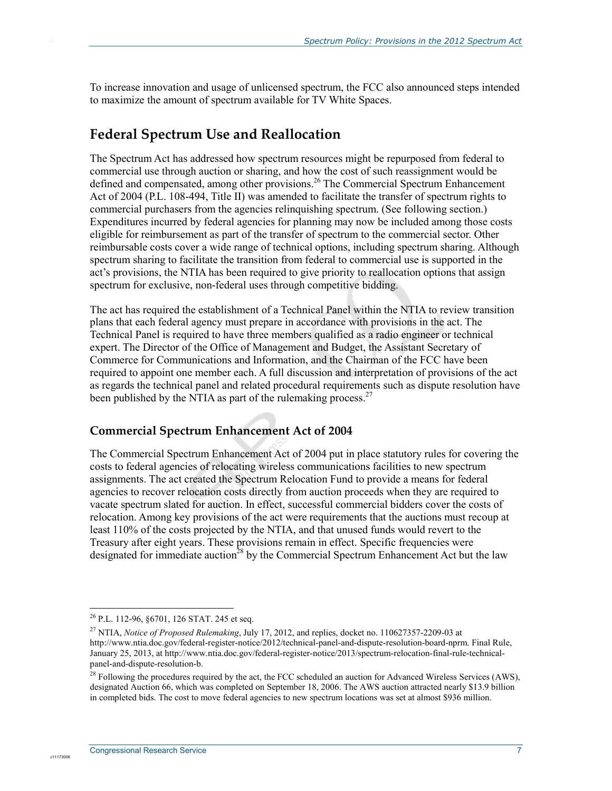To increase innovation and usage of unlicensed spectrum, the FCC also announced steps intended to maximize the amount of spectrum available for TV White Spaces.

#### **Federal Spectrum Use and Reallocation**

The Spectrum Act has addressed how spectrum resources might be repurposed from federal to commercial use through auction or sharing, and how the cost of such reassignment would be defined and compensated, among other provisions.<sup>26</sup> The Commercial Spectrum Enhancement Act of 2004 (P.L. 108-494, Title II) was amended to facilitate the transfer of spectrum rights to commercial purchasers from the agencies relinquishing spectrum. (See following section.) Expenditures incurred by federal agencies for planning may now be included among those costs eligible for reimbursement as part of the transfer of spectrum to the commercial sector. Other reimbursable costs cover a wide range of technical options, including spectrum sharing. Although spectrum sharing to facilitate the transition from federal to commercial use is supported in the act's provisions, the NTIA has been required to give priority to reallocation options that assign spectrum for exclusive, non-federal uses through competitive bidding.

The act has required the establishment of a Technical Panel within the NTIA to review transition plans that each federal agency must prepare in accordance with provisions in the act. The Technical Panel is required to have three members qualified as a radio engineer or technical expert. The Director of the Office of Management and Budget, the Assistant Secretary of Commerce for Communications and Information, and the Chairman of the FCC have been required to appoint one member each. A full discussion and interpretation of provisions of the act as regards the technical panel and related procedural requirements such as dispute resolution have been published by the NTIA as part of the rulemaking process.<sup>27</sup>

#### **Commercial Spectrum Enhancement Act of 2004**

The Commercial Spectrum Enhancement Act of 2004 put in place statutory rules for covering the costs to federal agencies of relocating wireless communications facilities to new spectrum assignments. The act created the Spectrum Relocation Fund to provide a means for federal agencies to recover relocation costs directly from auction proceeds when they are required to vacate spectrum slated for auction. In effect, successful commercial bidders cover the costs of relocation. Among key provisions of the act were requirements that the auctions must recoup at least 110% of the costs projected by the NTIA, and that unused funds would revert to the Treasury after eight years. These provisions remain in effect. Specific frequencies were designated for immediate auction<sup>28</sup> by the Commercial Spectrum Enhancement Act but the law

1

c1117300

<sup>&</sup>lt;sup>26</sup> P.L. 112-96, §6701, 126 STAT. 245 et seq.

<sup>27</sup> NTIA, *Notice of Proposed Rulemaking*, July 17, 2012, and replies, docket no. 110627357-2209-03 at http://www.ntia.doc.gov/federal-register-notice/2012/technical-panel-and-dispute-resolution-board-nprm. Final Rule, January 25, 2013, at http://www.ntia.doc.gov/federal-register-notice/2013/spectrum-relocation-final-rule-technicalpanel-and-dispute-resolution-b.

<sup>&</sup>lt;sup>28</sup> Following the procedures required by the act, the FCC scheduled an auction for Advanced Wireless Services (AWS), designated Auction 66, which was completed on September 18, 2006. The AWS auction attracted nearly \$13.9 billion in completed bids. The cost to move federal agencies to new spectrum locations was set at almost \$936 million.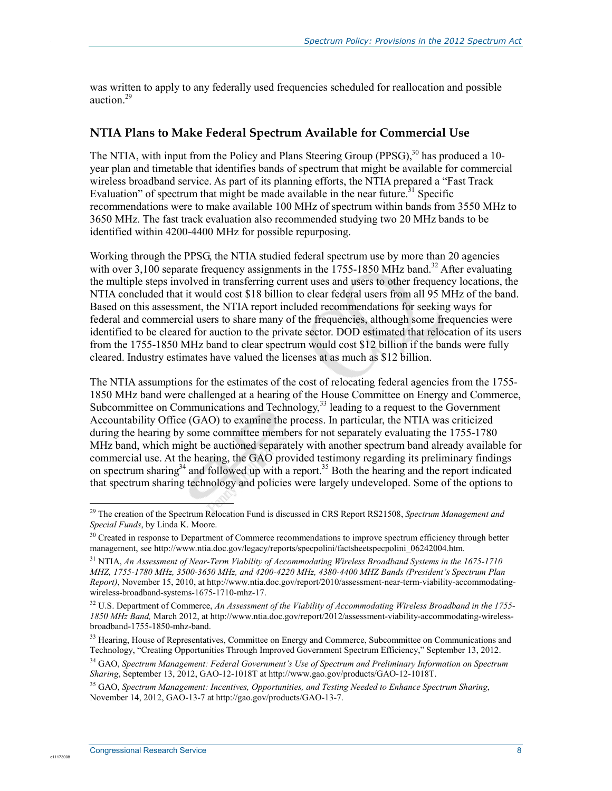was written to apply to any federally used frequencies scheduled for reallocation and possible auction.29

#### **NTIA Plans to Make Federal Spectrum Available for Commercial Use**

The NTIA, with input from the Policy and Plans Steering Group (PPSG),  $30$  has produced a 10year plan and timetable that identifies bands of spectrum that might be available for commercial wireless broadband service. As part of its planning efforts, the NTIA prepared a "Fast Track Evaluation" of spectrum that might be made available in the near future.<sup>31</sup> Specific recommendations were to make available 100 MHz of spectrum within bands from 3550 MHz to 3650 MHz. The fast track evaluation also recommended studying two 20 MHz bands to be identified within 4200-4400 MHz for possible repurposing.

Working through the PPSG, the NTIA studied federal spectrum use by more than 20 agencies with over 3,100 separate frequency assignments in the  $1755-1850$  MHz band.<sup>32</sup> After evaluating the multiple steps involved in transferring current uses and users to other frequency locations, the NTIA concluded that it would cost \$18 billion to clear federal users from all 95 MHz of the band. Based on this assessment, the NTIA report included recommendations for seeking ways for federal and commercial users to share many of the frequencies, although some frequencies were identified to be cleared for auction to the private sector. DOD estimated that relocation of its users from the 1755-1850 MHz band to clear spectrum would cost \$12 billion if the bands were fully cleared. Industry estimates have valued the licenses at as much as \$12 billion.

The NTIA assumptions for the estimates of the cost of relocating federal agencies from the 1755- 1850 MHz band were challenged at a hearing of the House Committee on Energy and Commerce, Subcommittee on Communications and Technology,<sup>33</sup> leading to a request to the Government Accountability Office (GAO) to examine the process. In particular, the NTIA was criticized during the hearing by some committee members for not separately evaluating the 1755-1780 MHz band, which might be auctioned separately with another spectrum band already available for commercial use. At the hearing, the GAO provided testimony regarding its preliminary findings on spectrum sharing<sup>34</sup> and followed up with a report.<sup>35</sup> Both the hearing and the report indicated that spectrum sharing technology and policies were largely undeveloped. Some of the options to

1

c1117300

<sup>29</sup> The creation of the Spectrum Relocation Fund is discussed in CRS Report RS21508, *Spectrum Management and Special Funds*, by Linda K. Moore.

<sup>&</sup>lt;sup>30</sup> Created in response to Department of Commerce recommendations to improve spectrum efficiency through better management, see http://www.ntia.doc.gov/legacy/reports/specpolini/factsheetspecpolini 06242004.htm.

<sup>31</sup> NTIA, *An Assessment of Near-Term Viability of Accommodating Wireless Broadband Systems in the 1675-1710 MHZ, 1755-1780 MHz, 3500-3650 MHz, and 4200-4220 MHz, 4380-4400 MHZ Bands (President's Spectrum Plan Report)*, November 15, 2010, at http://www.ntia.doc.gov/report/2010/assessment-near-term-viability-accommodatingwireless-broadband-systems-1675-1710-mhz-17.

<sup>32</sup> U.S. Department of Commerce, *An Assessment of the Viability of Accommodating Wireless Broadband in the 1755- 1850 MHz Band,* March 2012, at http://www.ntia.doc.gov/report/2012/assessment-viability-accommodating-wirelessbroadband-1755-1850-mhz-band.

<sup>&</sup>lt;sup>33</sup> Hearing, House of Representatives, Committee on Energy and Commerce, Subcommittee on Communications and Technology, "Creating Opportunities Through Improved Government Spectrum Efficiency," September 13, 2012.

<sup>34</sup> GAO, *Spectrum Management: Federal Government's Use of Spectrum and Preliminary Information on Spectrum Sharing*, September 13, 2012, GAO-12-1018T at http://www.gao.gov/products/GAO-12-1018T.

<sup>35</sup> GAO, *Spectrum Management: Incentives, Opportunities, and Testing Needed to Enhance Spectrum Sharing*, November 14, 2012, GAO-13-7 at http://gao.gov/products/GAO-13-7.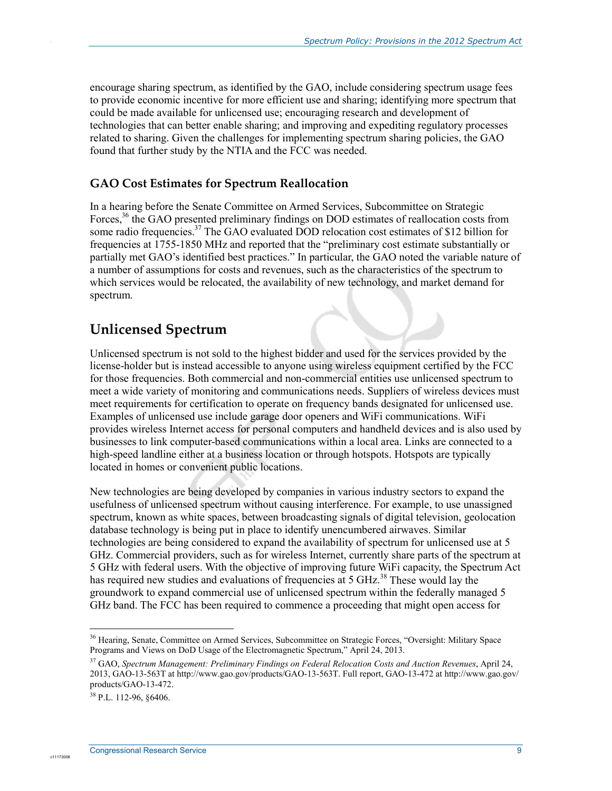encourage sharing spectrum, as identified by the GAO, include considering spectrum usage fees to provide economic incentive for more efficient use and sharing; identifying more spectrum that could be made available for unlicensed use; encouraging research and development of technologies that can better enable sharing; and improving and expediting regulatory processes related to sharing. Given the challenges for implementing spectrum sharing policies, the GAO found that further study by the NTIA and the FCC was needed.

#### **GAO Cost Estimates for Spectrum Reallocation**

In a hearing before the Senate Committee on Armed Services, Subcommittee on Strategic Forces,<sup>36</sup> the GAO presented preliminary findings on DOD estimates of reallocation costs from some radio frequencies.<sup>37</sup> The GAO evaluated DOD relocation cost estimates of \$12 billion for frequencies at 1755-1850 MHz and reported that the "preliminary cost estimate substantially or partially met GAO's identified best practices." In particular, the GAO noted the variable nature of a number of assumptions for costs and revenues, such as the characteristics of the spectrum to which services would be relocated, the availability of new technology, and market demand for spectrum.

### **Unlicensed Spectrum**

Unlicensed spectrum is not sold to the highest bidder and used for the services provided by the license-holder but is instead accessible to anyone using wireless equipment certified by the FCC for those frequencies. Both commercial and non-commercial entities use unlicensed spectrum to meet a wide variety of monitoring and communications needs. Suppliers of wireless devices must meet requirements for certification to operate on frequency bands designated for unlicensed use. Examples of unlicensed use include garage door openers and WiFi communications. WiFi provides wireless Internet access for personal computers and handheld devices and is also used by businesses to link computer-based communications within a local area. Links are connected to a high-speed landline either at a business location or through hotspots. Hotspots are typically located in homes or convenient public locations.

New technologies are being developed by companies in various industry sectors to expand the usefulness of unlicensed spectrum without causing interference. For example, to use unassigned spectrum, known as white spaces, between broadcasting signals of digital television, geolocation database technology is being put in place to identify unencumbered airwaves. Similar technologies are being considered to expand the availability of spectrum for unlicensed use at 5 GHz. Commercial providers, such as for wireless Internet, currently share parts of the spectrum at 5 GHz with federal users. With the objective of improving future WiFi capacity, the Spectrum Act has required new studies and evaluations of frequencies at 5 GHz.<sup>38</sup> These would lay the groundwork to expand commercial use of unlicensed spectrum within the federally managed 5 GHz band. The FCC has been required to commence a proceeding that might open access for

1

c1117300

<sup>36</sup> Hearing, Senate, Committee on Armed Services, Subcommittee on Strategic Forces, "Oversight: Military Space Programs and Views on DoD Usage of the Electromagnetic Spectrum," April 24, 2013.

<sup>37</sup> GAO, *Spectrum Management: Preliminary Findings on Federal Relocation Costs and Auction Revenues*, April 24, 2013, GAO-13-563T at http://www.gao.gov/products/GAO-13-563T. Full report, GAO-13-472 at http://www.gao.gov/ products/GAO-13-472.

 $38$  P.L. 112-96, 86406.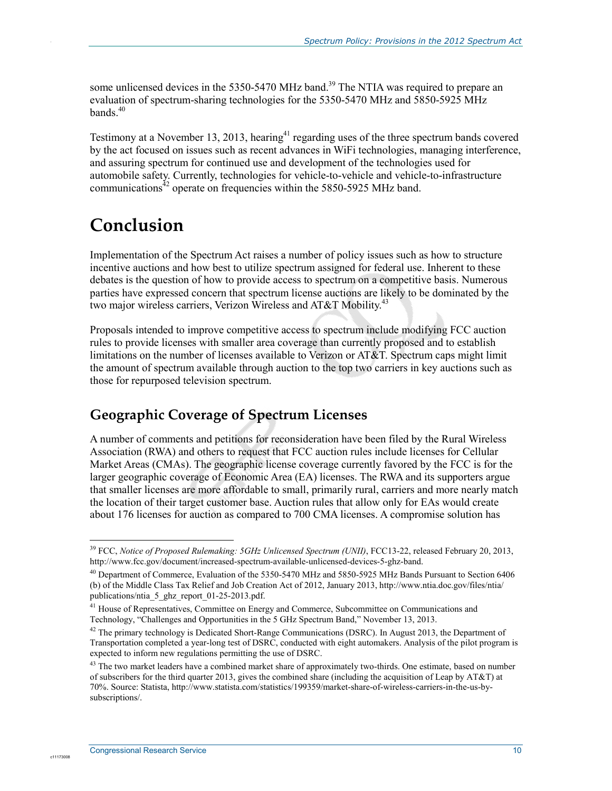some unlicensed devices in the 5350-5470 MHz band.<sup>39</sup> The NTIA was required to prepare an evaluation of spectrum-sharing technologies for the 5350-5470 MHz and 5850-5925 MHz bands.<sup>40</sup>

Testimony at a November 13, 2013, hearing<sup>41</sup> regarding uses of the three spectrum bands covered by the act focused on issues such as recent advances in WiFi technologies, managing interference, and assuring spectrum for continued use and development of the technologies used for automobile safety. Currently, technologies for vehicle-to-vehicle and vehicle-to-infrastructure communications $42$  operate on frequencies within the 5850-5925 MHz band.

## **Conclusion**

.

Implementation of the Spectrum Act raises a number of policy issues such as how to structure incentive auctions and how best to utilize spectrum assigned for federal use. Inherent to these debates is the question of how to provide access to spectrum on a competitive basis. Numerous parties have expressed concern that spectrum license auctions are likely to be dominated by the two major wireless carriers, Verizon Wireless and AT&T Mobility.<sup>43</sup>

Proposals intended to improve competitive access to spectrum include modifying FCC auction rules to provide licenses with smaller area coverage than currently proposed and to establish limitations on the number of licenses available to Verizon or AT&T. Spectrum caps might limit the amount of spectrum available through auction to the top two carriers in key auctions such as those for repurposed television spectrum.

### **Geographic Coverage of Spectrum Licenses**

A number of comments and petitions for reconsideration have been filed by the Rural Wireless Association (RWA) and others to request that FCC auction rules include licenses for Cellular Market Areas (CMAs). The geographic license coverage currently favored by the FCC is for the larger geographic coverage of Economic Area (EA) licenses. The RWA and its supporters argue that smaller licenses are more affordable to small, primarily rural, carriers and more nearly match the location of their target customer base. Auction rules that allow only for EAs would create about 176 licenses for auction as compared to 700 CMA licenses. A compromise solution has

<u>.</u>

<sup>&</sup>lt;sup>39</sup> FCC, *Notice of Proposed Rulemaking: 5GHz Unlicensed Spectrum (UNII)*, FCC13-22, released February 20, 2013, http://www.fcc.gov/document/increased-spectrum-available-unlicensed-devices-5-ghz-band.

<sup>40</sup> Department of Commerce, Evaluation of the 5350-5470 MHz and 5850-5925 MHz Bands Pursuant to Section 6406 (b) of the Middle Class Tax Relief and Job Creation Act of 2012, January 2013, http://www.ntia.doc.gov/files/ntia/ publications/ntia\_5\_ghz\_report\_01-25-2013.pdf.

<sup>&</sup>lt;sup>41</sup> House of Representatives, Committee on Energy and Commerce, Subcommittee on Communications and Technology, "Challenges and Opportunities in the 5 GHz Spectrum Band," November 13, 2013.

 $42$  The primary technology is Dedicated Short-Range Communications (DSRC). In August 2013, the Department of Transportation completed a year-long test of DSRC, conducted with eight automakers. Analysis of the pilot program is expected to inform new regulations permitting the use of DSRC.

 $43$  The two market leaders have a combined market share of approximately two-thirds. One estimate, based on number of subscribers for the third quarter 2013, gives the combined share (including the acquisition of Leap by AT&T) at 70%. Source: Statista, http://www.statista.com/statistics/199359/market-share-of-wireless-carriers-in-the-us-bysubscriptions/.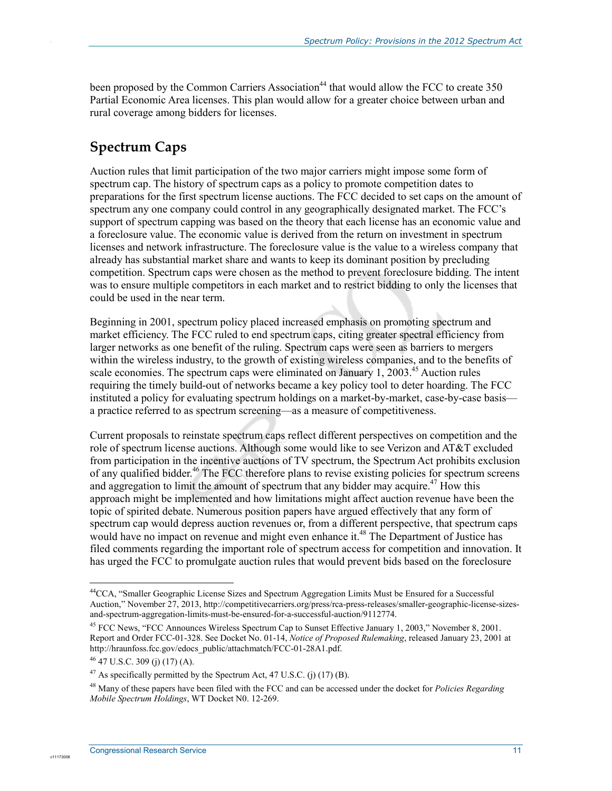been proposed by the Common Carriers Association<sup>44</sup> that would allow the FCC to create 350 Partial Economic Area licenses. This plan would allow for a greater choice between urban and rural coverage among bidders for licenses.

## **Spectrum Caps**

.

Auction rules that limit participation of the two major carriers might impose some form of spectrum cap. The history of spectrum caps as a policy to promote competition dates to preparations for the first spectrum license auctions. The FCC decided to set caps on the amount of spectrum any one company could control in any geographically designated market. The FCC's support of spectrum capping was based on the theory that each license has an economic value and a foreclosure value. The economic value is derived from the return on investment in spectrum licenses and network infrastructure. The foreclosure value is the value to a wireless company that already has substantial market share and wants to keep its dominant position by precluding competition. Spectrum caps were chosen as the method to prevent foreclosure bidding. The intent was to ensure multiple competitors in each market and to restrict bidding to only the licenses that could be used in the near term.

Beginning in 2001, spectrum policy placed increased emphasis on promoting spectrum and market efficiency. The FCC ruled to end spectrum caps, citing greater spectral efficiency from larger networks as one benefit of the ruling. Spectrum caps were seen as barriers to mergers within the wireless industry, to the growth of existing wireless companies, and to the benefits of scale economies. The spectrum caps were eliminated on January 1, 2003.<sup>45</sup> Auction rules requiring the timely build-out of networks became a key policy tool to deter hoarding. The FCC instituted a policy for evaluating spectrum holdings on a market-by-market, case-by-case basis a practice referred to as spectrum screening—as a measure of competitiveness.

Current proposals to reinstate spectrum caps reflect different perspectives on competition and the role of spectrum license auctions. Although some would like to see Verizon and AT&T excluded from participation in the incentive auctions of TV spectrum, the Spectrum Act prohibits exclusion of any qualified bidder.<sup>46</sup> The FCC therefore plans to revise existing policies for spectrum screens and aggregation to limit the amount of spectrum that any bidder may acquire.<sup>47</sup> How this approach might be implemented and how limitations might affect auction revenue have been the topic of spirited debate. Numerous position papers have argued effectively that any form of spectrum cap would depress auction revenues or, from a different perspective, that spectrum caps would have no impact on revenue and might even enhance it.<sup>48</sup> The Department of Justice has filed comments regarding the important role of spectrum access for competition and innovation. It has urged the FCC to promulgate auction rules that would prevent bids based on the foreclosure

1

<sup>&</sup>lt;sup>44</sup>CCA, "Smaller Geographic License Sizes and Spectrum Aggregation Limits Must be Ensured for a Successful Auction," November 27, 2013, http://competitivecarriers.org/press/rca-press-releases/smaller-geographic-license-sizesand-spectrum-aggregation-limits-must-be-ensured-for-a-successful-auction/9112774.

<sup>45</sup> FCC News, "FCC Announces Wireless Spectrum Cap to Sunset Effective January 1, 2003," November 8, 2001. Report and Order FCC-01-328. See Docket No. 01-14, *Notice of Proposed Rulemaking*, released January 23, 2001 at http://hraunfoss.fcc.gov/edocs\_public/attachmatch/FCC-01-28A1.pdf.

<sup>46 47</sup> U.S.C. 309 (j) (17) (A).

 $^{47}$  As specifically permitted by the Spectrum Act, 47 U.S.C. (j) (17) (B).

<sup>48</sup> Many of these papers have been filed with the FCC and can be accessed under the docket for *Policies Regarding Mobile Spectrum Holdings*, WT Docket N0. 12-269.